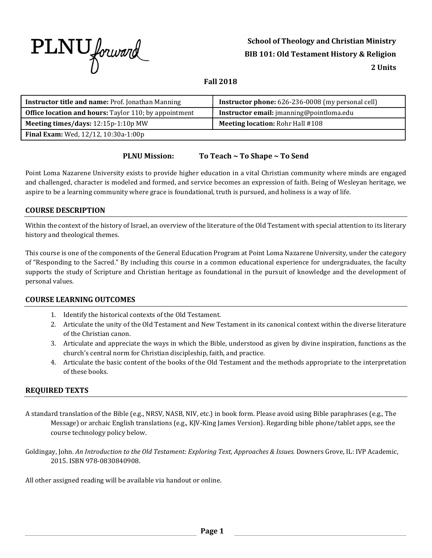

# **School of Theology and Christian Ministry BIB 101: Old Testament History & Religion 2 Units**

# **Fall 2018**

| Instructor title and name: Prof. Jonathan Manning            | <b>Instructor phone:</b> 626-236-0008 (my personal cell) |
|--------------------------------------------------------------|----------------------------------------------------------|
| <b>Office location and hours:</b> Taylor 110; by appointment | Instructor email: jmanning@pointloma.edu                 |
| Meeting times/days: 12:15p-1:10p MW                          | <b>Meeting location: Rohr Hall #108</b>                  |
| Final Exam: Wed, 12/12, 10:30a-1:00p                         |                                                          |

## **PLNU Mission: To Teach ~ To Shape ~ To Send**

Point Loma Nazarene University exists to provide higher education in a vital Christian community where minds are engaged and challenged, character is modeled and formed, and service becomes an expression of faith. Being of Wesleyan heritage, we aspire to be a learning community where grace is foundational, truth is pursued, and holiness is a way of life.

## **COURSE DESCRIPTION**

Within the context of the history of Israel, an overview of the literature of the Old Testament with special attention to its literary history and theological themes.

This course is one of the components of the General Education Program at Point Loma Nazarene University, under the category of "Responding to the Sacred." By including this course in a common educational experience for undergraduates, the faculty supports the study of Scripture and Christian heritage as foundational in the pursuit of knowledge and the development of personal values.

### **COURSE LEARNING OUTCOMES**

- 1. Identify the historical contexts of the Old Testament.
- 2. Articulate the unity of the Old Testament and New Testament in its canonical context within the diverse literature of the Christian canon.
- 3. Articulate and appreciate the ways in which the Bible, understood as given by divine inspiration, functions as the church's central norm for Christian discipleship, faith, and practice.
- 4. Articulate the basic content of the books of the Old Testament and the methods appropriate to the interpretation of these books.

#### **REQUIRED TEXTS**

- A standard translation of the Bible (e.g., NRSV, NASB, NIV, etc.) in book form. Please avoid using Bible paraphrases (e.g., The Message) or archaic English translations (e.g., KJV-King James Version). Regarding bible phone/tablet apps, see the course technology policy below.
- Goldingay, John. *An Introduction to the Old Testament: Exploring Text, Approaches & Issues.* Downers Grove, IL: IVP Academic, 2015. ISBN 978-0830840908.

All other assigned reading will be available via handout or online.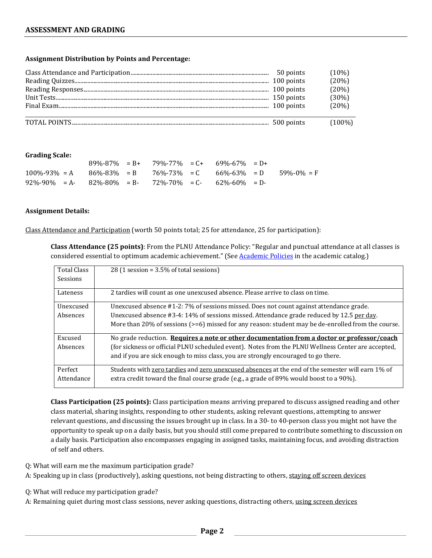#### **Assignment Distribution by Points and Percentage:**

|  | $(10\%)$  |
|--|-----------|
|  | (20%)     |
|  | (20%)     |
|  | (30%)     |
|  | (20%)     |
|  | $(100\%)$ |

#### **Grading Scale:**

|                                                                                           |  | $89\% - 87\% = B + 79\% - 77\% = C + 69\% - 67\% = D +$ |  |  |
|-------------------------------------------------------------------------------------------|--|---------------------------------------------------------|--|--|
| $100\% - 93\% = A$ $86\% - 83\% = B$ $76\% - 73\% = C$ $66\% - 63\% = D$ $59\% - 0\% = F$ |  |                                                         |  |  |
| $92\% - 90\% = A - 82\% - 80\% = B - 72\% - 70\% = C - 62\% - 60\% = D - 1$               |  |                                                         |  |  |

#### **Assignment Details:**

Class Attendance and Participation (worth 50 points total; 25 for attendance, 25 for participation):

**Class Attendance (25 points)**: From the PLNU Attendance Policy: "Regular and punctual attendance at all classes is considered essential to optimum academic achievement." (See Academic Policies in the academic catalog.)

| <b>Total Class</b><br>Sessions | 28 (1 session = $3.5\%$ of total sessions)                                                         |
|--------------------------------|----------------------------------------------------------------------------------------------------|
| Lateness                       | 2 tardies will count as one unexcused absence. Please arrive to class on time.                     |
| Unexcused                      | Unexcused absence #1-2: 7% of sessions missed. Does not count against attendance grade.            |
| Absences                       | Unexcused absence #3-4: 14% of sessions missed. Attendance grade reduced by 12.5 per day.          |
|                                | More than 20% of sessions (>=6) missed for any reason: student may be de-enrolled from the course. |
| Excused                        | No grade reduction. Requires a note or other documentation from a doctor or professor/coach        |
| Absences                       | (for sickness or official PLNU scheduled event). Notes from the PLNU Wellness Center are accepted, |
|                                | and if you are sick enough to miss class, you are strongly encouraged to go there.                 |
| Perfect                        | Students with zero tardies and zero unexcused absences at the end of the semester will earn 1% of  |
| Attendance                     | extra credit toward the final course grade (e.g., a grade of 89% would boost to a 90%).            |

**Class Participation (25 points):** Class participation means arriving prepared to discuss assigned reading and other class material, sharing insights, responding to other students, asking relevant questions, attempting to answer relevant questions, and discussing the issues brought up in class. In a 30- to 40-person class you might not have the opportunity to speak up on a daily basis, but you should still come prepared to contribute something to discussion on a daily basis. Participation also encompasses engaging in assigned tasks, maintaining focus, and avoiding distraction of self and others.

- Q: What will earn me the maximum participation grade?
- A: Speaking up in class (productively), asking questions, not being distracting to others, staying off screen devices
- Q: What will reduce my participation grade?
- A: Remaining quiet during most class sessions, never asking questions, distracting others, using screen devices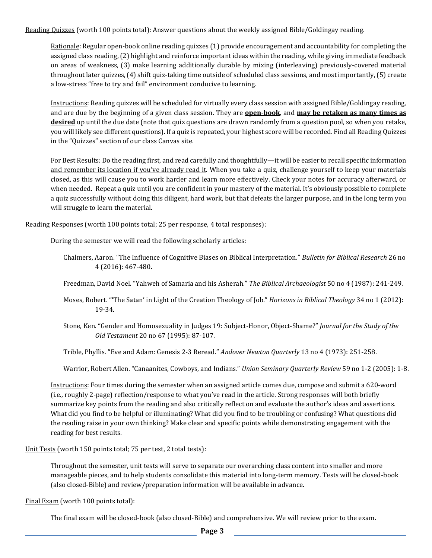Reading Quizzes (worth 100 points total): Answer questions about the weekly assigned Bible/Goldingay reading.

Rationale: Regular open-book online reading quizzes (1) provide encouragement and accountability for completing the assigned class reading, (2) highlight and reinforce important ideas within the reading, while giving immediate feedback on areas of weakness, (3) make learning additionally durable by mixing (interleaving) previously-covered material throughout later quizzes, (4) shift quiz-taking time outside of scheduled class sessions, and most importantly, (5) create a low-stress "free to try and fail" environment conducive to learning.

Instructions: Reading quizzes will be scheduled for virtually every class session with assigned Bible/Goldingay reading, and are due by the beginning of a given class session. They are **open-book**, and **may be retaken as many times as desired** up until the due date (note that quiz questions are drawn randomly from a question pool, so when you retake, you will likely see different questions). If a quiz is repeated, your highest score will be recorded. Find all Reading Quizzes in the "Quizzes" section of our class Canvas site.

For Best Results: Do the reading first, and read carefully and thoughtfully—it will be easier to recall specific information and remember its location if you've already read it. When you take a quiz, challenge yourself to keep your materials closed, as this will cause you to work harder and learn more effectively. Check your notes for accuracy afterward, or when needed. Repeat a quiz until you are confident in your mastery of the material. It's obviously possible to complete a quiz successfully without doing this diligent, hard work, but that defeats the larger purpose, and in the long term you will struggle to learn the material.

Reading Responses (worth 100 points total; 25 per response, 4 total responses):

During the semester we will read the following scholarly articles:

- Chalmers, Aaron. "The Influence of Cognitive Biases on Biblical Interpretation." *Bulletin for Biblical Research* 26 no 4 (2016): 467-480.
- Freedman, David Noel. "Yahweh of Samaria and his Asherah." *The Biblical Archaeologist* 50 no 4 (1987): 241-249.
- Moses, Robert. "'The Satan' in Light of the Creation Theology of Job." *Horizons in Biblical Theology* 34 no 1 (2012): 19-34.
- Stone, Ken. "Gender and Homosexuality in Judges 19: Subject-Honor, Object-Shame?" *Journal for the Study of the Old Testament* 20 no 67 (1995): 87-107.

Trible, Phyllis. "Eve and Adam: Genesis 2-3 Reread." *Andover Newton Quarterly* 13 no 4 (1973): 251-258.

Warrior, Robert Allen. "Canaanites, Cowboys, and Indians." *Union Seminary Quarterly Review* 59 no 1-2 (2005): 1-8.

Instructions: Four times during the semester when an assigned article comes due, compose and submit a 620-word (i.e., roughly 2-page) reflection/response to what you've read in the article. Strong responses will both briefly summarize key points from the reading and also critically reflect on and evaluate the author's ideas and assertions. What did you find to be helpful or illuminating? What did you find to be troubling or confusing? What questions did the reading raise in your own thinking? Make clear and specific points while demonstrating engagement with the reading for best results.

Unit Tests (worth 150 points total; 75 per test, 2 total tests):

Throughout the semester, unit tests will serve to separate our overarching class content into smaller and more manageable pieces, and to help students consolidate this material into long-term memory. Tests will be closed-book (also closed-Bible) and review/preparation information will be available in advance.

Final Exam (worth 100 points total):

The final exam will be closed-book (also closed-Bible) and comprehensive. We will review prior to the exam.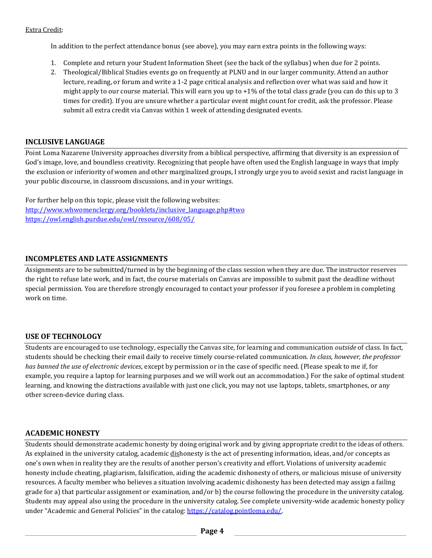In addition to the perfect attendance bonus (see above), you may earn extra points in the following ways:

- 1. Complete and return your Student Information Sheet (see the back of the syllabus) when due for 2 points.
- 2. Theological/Biblical Studies events go on frequently at PLNU and in our larger community. Attend an author lecture, reading, or forum and write a 1-2 page critical analysis and reflection over what was said and how it might apply to our course material. This will earn you up to  $+1\%$  of the total class grade (you can do this up to 3 times for credit). If you are unsure whether a particular event might count for credit, ask the professor. Please submit all extra credit via Canvas within 1 week of attending designated events.

# **INCLUSIVE LANGUAGE**

Point Loma Nazarene University approaches diversity from a biblical perspective, affirming that diversity is an expression of God's image, love, and boundless creativity. Recognizing that people have often used the English language in ways that imply the exclusion or inferiority of women and other marginalized groups, I strongly urge you to avoid sexist and racist language in your public discourse, in classroom discussions, and in your writings.

For further help on this topic, please visit the following websites: http://www.whwomenclergy.org/booklets/inclusive\_language.php#two https://owl.english.purdue.edu/owl/resource/608/05/

# **INCOMPLETES AND LATE ASSIGNMENTS**

Assignments are to be submitted/turned in by the beginning of the class session when they are due. The instructor reserves the right to refuse late work, and in fact, the course materials on Canvas are impossible to submit past the deadline without special permission. You are therefore strongly encouraged to contact your professor if you foresee a problem in completing work on time.

# **USE OF TECHNOLOGY**

Students are encouraged to use technology, especially the Canvas site, for learning and communication *outside* of class. In fact, students should be checking their email daily to receive timely course-related communication. *In class, however, the professor has banned the use of electronic devices*, except by permission or in the case of specific need. (Please speak to me if, for example, you require a laptop for learning purposes and we will work out an accommodation.) For the sake of optimal student learning, and knowing the distractions available with just one click, you may not use laptops, tablets, smartphones, or any other screen-device during class.

# **ACADEMIC HONESTY**

Students should demonstrate academic honesty by doing original work and by giving appropriate credit to the ideas of others. As explained in the university catalog, academic dishonesty is the act of presenting information, ideas, and/or concepts as one's own when in reality they are the results of another person's creativity and effort. Violations of university academic honesty include cheating, plagiarism, falsification, aiding the academic dishonesty of others, or malicious misuse of university resources. A faculty member who believes a situation involving academic dishonesty has been detected may assign a failing grade for a) that particular assignment or examination, and/or b) the course following the procedure in the university catalog. Students may appeal also using the procedure in the university catalog. See complete university-wide academic honesty policy under "Academic and General Policies" in the catalog: https://catalog.pointloma.edu/.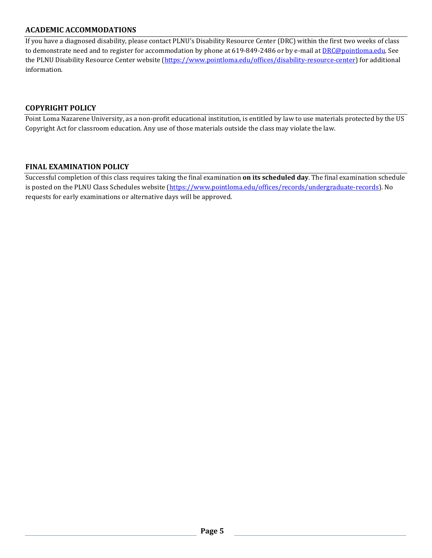## **ACADEMIC ACCOMMODATIONS**

If you have a diagnosed disability, please contact PLNU's Disability Resource Center (DRC) within the first two weeks of class to demonstrate need and to register for accommodation by phone at 619-849-2486 or by e-mail at DRC@pointloma.edu. See the PLNU Disability Resource Center website (https://www.pointloma.edu/offices/disability-resource-center) for additional information.

### **COPYRIGHT POLICY**

Point Loma Nazarene University, as a non-profit educational institution, is entitled by law to use materials protected by the US Copyright Act for classroom education. Any use of those materials outside the class may violate the law.

### **FINAL EXAMINATION POLICY**

Successful completion of this class requires taking the final examination **on its scheduled day**. The final examination schedule is posted on the PLNU Class Schedules website (https://www.pointloma.edu/offices/records/undergraduate-records). No requests for early examinations or alternative days will be approved.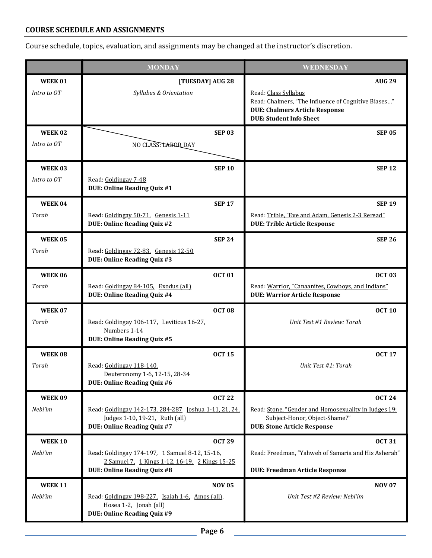# **COURSE SCHEDULE AND ASSIGNMENTS**

Course schedule, topics, evaluation, and assignments may be changed at the instructor's discretion.

|                              | <b>MONDAY</b>                                                                                                                                           | <b>WEDNESDAY</b>                                                                                                                                                        |
|------------------------------|---------------------------------------------------------------------------------------------------------------------------------------------------------|-------------------------------------------------------------------------------------------------------------------------------------------------------------------------|
| WEEK01<br>Intro to OT        | [TUESDAY] AUG 28<br>Syllabus & Orientation                                                                                                              | <b>AUG 29</b><br>Read: Class Syllabus<br>Read: Chalmers, "The Influence of Cognitive Biases"<br><b>DUE: Chalmers Article Response</b><br><b>DUE: Student Info Sheet</b> |
| <b>WEEK02</b><br>Intro to OT | <b>SEP 03</b><br>NO CLASS: LABOR DAY                                                                                                                    | <b>SEP 05</b>                                                                                                                                                           |
| <b>WEEK03</b><br>Intro to OT | <b>SEP 10</b><br>Read: Goldingay 7-48<br><b>DUE: Online Reading Quiz #1</b>                                                                             | <b>SEP 12</b>                                                                                                                                                           |
| WEEK 04<br>Torah             | <b>SEP 17</b><br>Read: Goldingay 50-71, Genesis 1-11<br><b>DUE: Online Reading Quiz #2</b>                                                              | <b>SEP 19</b><br>Read: Trible, "Eve and Adam, Genesis 2-3 Reread"<br><b>DUE: Trible Article Response</b>                                                                |
| <b>WEEK05</b><br>Torah       | <b>SEP 24</b><br>Read: Goldingay 72-83, Genesis 12-50<br><b>DUE: Online Reading Quiz #3</b>                                                             | <b>SEP 26</b>                                                                                                                                                           |
| <b>WEEK06</b><br>Torah       | <b>OCT 01</b><br>Read: Goldingay 84-105. Exodus (all)<br><b>DUE: Online Reading Quiz #4</b>                                                             | <b>OCT 03</b><br>Read: Warrior, "Canaanites, Cowboys, and Indians"<br><b>DUE: Warrior Article Response</b>                                                              |
| <b>WEEK 07</b><br>Torah      | <b>OCT 08</b><br>Read: Goldingay 106-117. Leviticus 16-27.<br>Numbers 1-14<br><b>DUE: Online Reading Quiz #5</b>                                        | <b>OCT 10</b><br>Unit Test #1 Review: Torah                                                                                                                             |
| WEEK 08<br>Torah             | <b>OCT 15</b><br>Read: Goldingay 118-140.<br>Deuteronomy 1-6, 12-15, 28-34<br><b>DUE: Online Reading Quiz #6</b>                                        | <b>OCT 17</b><br>Unit Test #1: Torah                                                                                                                                    |
| <b>WEEK09</b><br>Nebi'im     | <b>OCT 22</b><br>Read: Goldingay 142-173, 284-287 Joshua 1-11, 21, 24,<br>Judges 1-10, 19-21, Ruth (all)<br><b>DUE: Online Reading Quiz #7</b>          | <b>OCT 24</b><br>Read: Stone, "Gender and Homosexuality in Judges 19:<br>Subject-Honor, Object-Shame?"<br><b>DUE: Stone Article Response</b>                            |
| <b>WEEK10</b><br>Nebi'im     | <b>OCT 29</b><br>Read: Goldingay 174-197. 1 Samuel 8-12, 15-16.<br>2 Samuel 7, 1 Kings 1-12, 16-19, 2 Kings 15-25<br><b>DUE: Online Reading Quiz #8</b> | <b>OCT 31</b><br>Read: Freedman, "Yahweh of Samaria and His Asherah"<br><b>DUE: Freedman Article Response</b>                                                           |
| <b>WEEK 11</b><br>Nebi'im    | <b>NOV 05</b><br>Read: Goldingay 198-227, Isaiah 1-6, Amos (all),<br>Hosea 1-2. Jonah (all)<br>DUE: Online Reading Quiz #9                              | <b>NOV 07</b><br>Unit Test #2 Review: Nebi'im                                                                                                                           |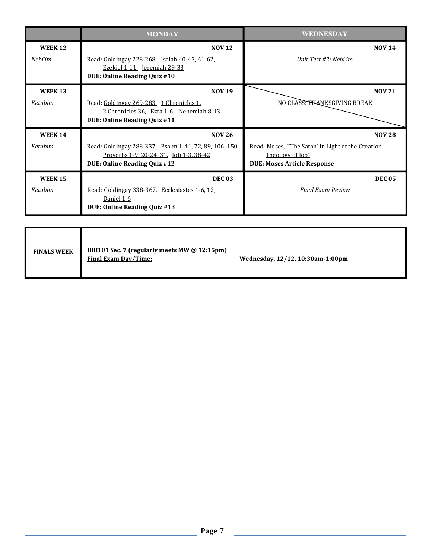|                           | <b>MONDAY</b>                                                                                                                                      | WEDNESDAY                                                                                                                    |
|---------------------------|----------------------------------------------------------------------------------------------------------------------------------------------------|------------------------------------------------------------------------------------------------------------------------------|
| <b>WEEK 12</b><br>Nebi'im | <b>NOV 12</b><br>Read: Goldingay 228-268. Isaiah 40-43, 61-62.<br>Ezekiel 1-11, Jeremiah 29-33<br>DUE: Online Reading Quiz #10                     | <b>NOV 14</b><br><b>Ilnit Test #2: Nehi'im</b>                                                                               |
| <b>WEEK 13</b><br>Ketubim | <b>NOV 19</b><br>Read: Goldingay 269-283, 1 Chronicles 1,<br>2 Chronicles 36, Ezra 1-6, Nehemiah 8-13<br><b>DUE: Online Reading Quiz #11</b>       | <b>NOV 21</b><br>NO CLASS: THANKSGIVING BREAK                                                                                |
| <b>WEEK 14</b><br>Ketubim | <b>NOV 26</b><br>Read: Goldingay 288-337. Psalm 1-41, 72, 89, 106, 150.<br>Proverbs 1-9, 20-24, 31, Job 1-3, 38-42<br>DUE: Online Reading Quiz #12 | <b>NOV 28</b><br>Read: Moses, "The Satan' in Light of the Creation<br>Theology of Job"<br><b>DUE: Moses Article Response</b> |
| <b>WEEK 15</b><br>Ketubim | <b>DEC 03</b><br>Read: Goldingay 338-367. Ecclesiastes 1-6, 12.<br>Daniel 1-6<br><b>DUE: Online Reading Quiz #13</b>                               | <b>DEC 05</b><br><b>Final Exam Review</b>                                                                                    |

| <b>FINALS WEEK</b> | BIB101 Sec. 7 (regularly meets MW @ 12:15pm)<br>Final Exam Day/Time: | Wednesday, 12/12, 10:30am-1:00pm |
|--------------------|----------------------------------------------------------------------|----------------------------------|
|--------------------|----------------------------------------------------------------------|----------------------------------|